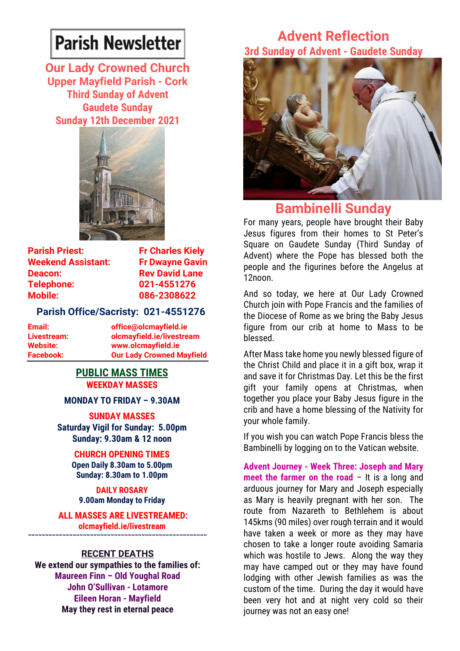# **Parish Newsletter**

**Our Lady Crowned Church Upper Mayfield Parish - Cork Third Sunday of Advent Gaudete Sunday Sunday 12th December 2021**



**Parish Priest:** Fr Charles Kielv **Weekend Assistant: Fr Dwayne Gavin Deacon:** Rev David Lane **Telephone: 021-4551276 Mobile: 086-2308622** 

# **Parish Office/Sacristy: 021-4551276**

**Email: office@olcmayfield.ie Livestream: olcmayfield.ie/livestream Website: www.olcmayfield.ie Facebook: Our Lady Crowned Mayfield**

## **PUBLIC MASS TIMES WEEKDAY MASSES**

### **MONDAY TO FRIDAY – 9.30AM**

**SUNDAY MASSES Saturday Vigil for Sunday: 5.00pm Sunday: 9.30am & 12 noon**

**CHURCH OPENING TIMES**

**Open Daily 8.30am to 5.00pm Sunday: 8.30am to 1.00pm** 

**DAILY ROSARY 9.00am Monday to Friday**

**ALL MASSES ARE LIVESTREAMED: olcmayfield.ie/livestream**

### **RECENT DEATHS**

**~~~~~~~~~~~~~~~~~~~~~~~~~~~~~~~~~~~~~~~~~~~~~~~~~~~~**

**We extend our sympathies to the families of: Maureen Finn – Old Youghal Road John O'Sullivan - Lotamore Eileen Horan - Mayfield May they rest in eternal peace**

# **Advent Reflection 3rd Sunday of Advent - Gaudete Sunday**



# **Bambinelli Sunday**

For many years, people have brought their Baby Jesus figures from their homes to St Peter's Square on Gaudete Sunday (Third Sunday of Advent) where the Pope has blessed both the people and the figurines before the Angelus at 12noon.

And so today, we here at Our Lady Crowned Church join with Pope Francis and the families of the Diocese of Rome as we bring the Baby Jesus figure from our crib at home to Mass to be blessed.

After Mass take home you newly blessed figure of the Christ Child and place it in a gift box, wrap it and save it for Christmas Day. Let this be the first gift your family opens at Christmas, when together you place your Baby Jesus figure in the crib and have a home blessing of the Nativity for your whole family.

If you wish you can watch Pope Francis bless the Bambinelli by logging on to the Vatican website.

**Advent Journey - Week Three: Joseph and Mary meet the farmer on the road** – It is a long and arduous journey for Mary and Joseph especially as Mary is heavily pregnant with her son. The route from Nazareth to Bethlehem is about 145kms (90 miles) over rough terrain and it would have taken a week or more as they may have chosen to take a longer route avoiding Samaria which was hostile to Jews. Along the way they may have camped out or they may have found lodging with other Jewish families as was the custom of the time. During the day it would have been very hot and at night very cold so their journey was not an easy one!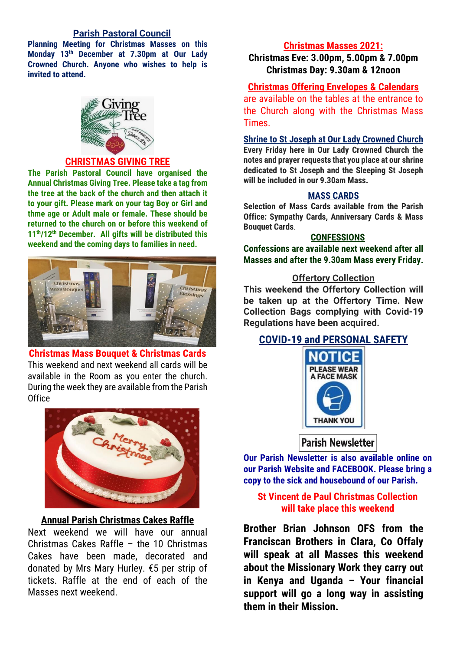## **Parish Pastoral Council**

**Planning Meeting for Christmas Masses on this Monday 13th December at 7.30pm at Our Lady Crowned Church. Anyone who wishes to help is invited to attend.**



#### **CHRISTMAS GIVING TREE**

**The Parish Pastoral Council have organised the Annual Christmas Giving Tree. Please take a tag from the tree at the back of the church and then attach it to your gift. Please mark on your tag Boy or Girl and thme age or Adult male or female. These should be returned to the church on or before this weekend of 11th/12th December. All gifts will be distributed this weekend and the coming days to families in need.**



**Christmas Mass Bouquet & Christmas Cards** This weekend and next weekend all cards will be available in the Room as you enter the church. During the week they are available from the Parish **Office** 



### **Annual Parish Christmas Cakes Raffle**

Next weekend we will have our annual Christmas Cakes Raffle – the 10 Christmas Cakes have been made, decorated and donated by Mrs Mary Hurley. €5 per strip of tickets. Raffle at the end of each of the Masses next weekend.

# **Christmas Masses 2021:**

**Christmas Eve: 3.00pm, 5.00pm & 7.00pm Christmas Day: 9.30am & 12noon**

### **Christmas Offering Envelopes & Calendars**

are available on the tables at the entrance to the Church along with the Christmas Mass Times.

#### **Shrine to St Joseph at Our Lady Crowned Church**

**Every Friday here in Our Lady Crowned Church the notes and prayer requests that you place at our shrine dedicated to St Joseph and the Sleeping St Joseph will be included in our 9.30am Mass.** 

#### **MASS CARDS**

**Selection of Mass Cards available from the Parish Office: Sympathy Cards, Anniversary Cards & Mass Bouquet Cards**.

### **CONFESSIONS**

**Confessions are available next weekend after all Masses and after the 9.30am Mass every Friday.**

### **Offertory Collection**

**This weekend the Offertory Collection will be taken up at the Offertory Time. New Collection Bags complying with Covid-19 Regulations have been acquired.**

# **COVID-19 and PERSONAL SAFETY**



**Parish Newsletter** 

**Our Parish Newsletter is also available online on our Parish Website and FACEBOOK. Please bring a copy to the sick and housebound of our Parish.**

# **St Vincent de Paul Christmas Collection will take place this weekend**

**Brother Brian Johnson OFS from the Franciscan Brothers in Clara, Co Offaly will speak at all Masses this weekend about the Missionary Work they carry out in Kenya and Uganda – Your financial support will go a long way in assisting them in their Mission.**